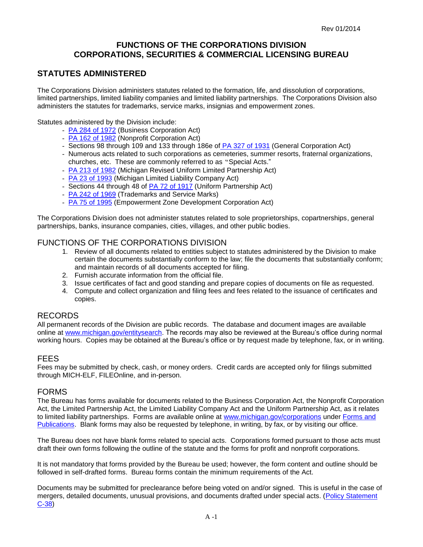# **FUNCTIONS OF THE CORPORATIONS DIVISION CORPORATIONS, SECURITIES & COMMERCIAL LICENSING BUREAU**

### **STATUTES ADMINISTERED**

The Corporations Division administers statutes related to the formation, life, and dissolution of corporations, limited partnerships, limited liability companies and limited liability partnerships. The Corporations Division also administers the statutes for trademarks, service marks, insignias and empowerment zones.

Statutes administered by the Division include:

- [PA 284 of 1972](http://www.michiganlegislature.org/mileg.asp?page=getObject&objName=mcl-Act-284-of-1972&queryid=11534969&highlight=) (Business Corporation Act)
- [PA 162 of 1982](http://www.michiganlegislature.org/mileg.asp?page=getObject&objName=mcl-Act-162-of-1982&queryid=11534974&highlight=) (Nonprofit Corporation Act)
- Sections 98 through 109 and 133 through 186e of [PA 327 of 1931](http://www.michiganlegislature.org/mileg.asp?page=getObject&objName=mcl-Act-327-of-1931&queryid=11534995&highlight=) (General Corporation Act)
- Numerous acts related to such corporations as cemeteries, summer resorts, fraternal organizations, churches, etc. These are commonly referred to as "Special Acts."
- [PA 213 of 1982](http://www.michiganlegislature.org/mileg.asp?page=getObject&objName=mcl-Act-213-of-1982&queryid=11535005&highlight=) (Michigan Revised Uniform Limited Partnership Act)
- [PA 23 of 1993](http://www.michiganlegislature.org/mileg.asp?page=getObject&objName=mcl-Act-23-of-1993&queryid=11535012&highlight=) (Michigan Limited Liability Company Act)
- Sections 44 through 48 of **PA 72 of 1917** (Uniform Partnership Act)
- [PA 242 of 1969](http://www.michiganlegislature.org/mileg.asp?page=getObject&objName=mcl-Act-242-of-1969&queryid=11535028&highlight=) (Trademarks and Service Marks)
- [PA 75 of 1995](http://www.michiganlegislature.org/mileg.asp?page=getObject&objName=mcl-Act-75-of-1995&queryid=11535032&highlight=) (Empowerment Zone Development Corporation Act)

The Corporations Division does not administer statutes related to sole proprietorships, copartnerships, general partnerships, banks, insurance companies, cities, villages, and other public bodies.

### FUNCTIONS OF THE CORPORATIONS DIVISION

- 1. Review of all documents related to entities subject to statutes administered by the Division to make certain the documents substantially conform to the law; file the documents that substantially conform; and maintain records of all documents accepted for filing.
- 2. Furnish accurate information from the official file.
- 3. Issue certificates of fact and good standing and prepare copies of documents on file as requested.
- 4. Compute and collect organization and filing fees and fees related to the issuance of certificates and copies.

### RECORDS

All permanent records of the Division are public records. The database and document images are available online at [www.michigan.gov/entitysearch.](http://www.michigan.gov/entitysearch) The records may also be reviewed at the Bureau's office during normal working hours. Copies may be obtained at the Bureau's office or by request made by telephone, fax, or in writing.

### FEES

Fees may be submitted by check, cash, or money orders. Credit cards are accepted only for filings submitted through MICH-ELF, FILEOnline, and in-person.

### FORMS

The Bureau has forms available for documents related to the Business Corporation Act, the Nonprofit Corporation Act, the Limited Partnership Act, the Limited Liability Company Act and the Uniform Partnership Act, as it relates to limited liability partnerships. Forms are available online at [www.michigan.gov/corporations](http://www.michigan.gov/corporations) under [Forms and](http://www.michigan.gov/cis/0,1607,7-154-35299_35413_36736---,00.html)  [Publications.](http://www.michigan.gov/cis/0,1607,7-154-35299_35413_36736---,00.html) Blank forms may also be requested by telephone, in writing, by fax, or by visiting our office.

The Bureau does not have blank forms related to special acts. Corporations formed pursuant to those acts must draft their own forms following the outline of the statute and the forms for profit and nonprofit corporations.

It is not mandatory that forms provided by the Bureau be used; however, the form content and outline should be followed in self-drafted forms. Bureau forms contain the minimum requirements of the Act.

Documents may be submitted for preclearance before being voted on and/or signed. This is useful in the case of mergers, detailed documents, unusual provisions, and documents drafted under special acts. [\(Policy Statement](http://www.dleg.state.mi.us/bcsc/forms/corp/pol/c-38.pdf)  [C-38\)](http://www.dleg.state.mi.us/bcsc/forms/corp/pol/c-38.pdf)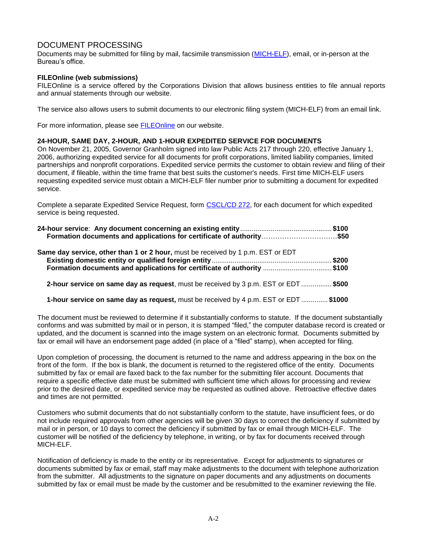# DOCUMENT PROCESSING

Documents may be submitted for filing by mail, facsimile transmission [\(MICH-ELF\)](http://www.michigan.gov/cis/0,1607,7-154-35299_35413-135307--,00.html), email, or in-person at the Bureau's office.

#### **FILEOnline (web submissions)**

FILEOnline is a service offered by the Corporations Division that allows business entities to file annual reports and annual statements through our website.

The service also allows users to submit documents to our electronic filing system (MICH-ELF) from an email link.

For more information, please see [FILEOnline](http://www.michigan.gov/dleg/0,1607,7-154-35299_35413-136482--,00.html) on our website.

#### **24-HOUR, SAME DAY, 2-HOUR, AND 1-HOUR EXPEDITED SERVICE FOR DOCUMENTS**

On November 21, 2005, Governor Granholm signed into law Public Acts 217 through 220, effective January 1, 2006, authorizing expedited service for all documents for profit corporations, limited liability companies, limited partnerships and nonprofit corporations. Expedited service permits the customer to obtain review and filing of their document, if fileable, within the time frame that best suits the customer's needs. First time MICH-ELF users requesting expedited service must obtain a MICH-ELF filer number prior to submitting a document for expedited service.

Complete a separate Expedited Service Request, form [CSCL/CD 272,](http://www.dleg.state.mi.us/bcsc/forms/corp/elf/272.pdf) for each document for which expedited service is being requested.

| Formation documents and applications for certificate of authority\$50                  |  |
|----------------------------------------------------------------------------------------|--|
| <b>Same day service, other than 1 or 2 hour, must be received by 1 p.m. EST or EDT</b> |  |
| <b>Formation documents and applications for certificate of authority \$100</b>         |  |
| 2-hour service on same day as request, must be received by 3 p.m. EST or EDT \$500     |  |

 **1-hour service on same day as request,** must be received by 4 p.m. EST or EDT .............. **\$1000**

The document must be reviewed to determine if it substantially conforms to statute. If the document substantially conforms and was submitted by mail or in person, it is stamped "filed," the computer database record is created or updated, and the document is scanned into the image system on an electronic format. Documents submitted by fax or email will have an endorsement page added (in place of a "filed" stamp), when accepted for filing.

Upon completion of processing, the document is returned to the name and address appearing in the box on the front of the form. If the box is blank, the document is returned to the registered office of the entity. Documents submitted by fax or email are faxed back to the fax number for the submitting filer account. Documents that require a specific effective date must be submitted with sufficient time which allows for processing and review prior to the desired date, or expedited service may be requested as outlined above. Retroactive effective dates and times are not permitted.

Customers who submit documents that do not substantially conform to the statute, have insufficient fees, or do not include required approvals from other agencies will be given 30 days to correct the deficiency if submitted by mail or in person, or 10 days to correct the deficiency if submitted by fax or email through MICH-ELF. The customer will be notified of the deficiency by telephone, in writing, or by fax for documents received through MICH-ELF.

Notification of deficiency is made to the entity or its representative. Except for adjustments to signatures or documents submitted by fax or email, staff may make adjustments to the document with telephone authorization from the submitter. All adjustments to the signature on paper documents and any adjustments on documents submitted by fax or email must be made by the customer and be resubmitted to the examiner reviewing the file.